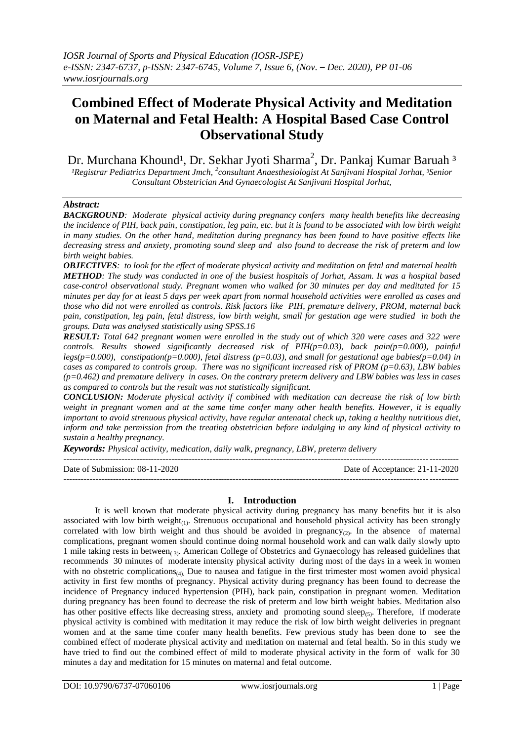# **Combined Effect of Moderate Physical Activity and Meditation on Maternal and Fetal Health: A Hospital Based Case Control Observational Study**

Dr. Murchana Khound<sup>1</sup>, Dr. Sekhar Jyoti Sharma<sup>2</sup>, Dr. Pankaj Kumar Baruah <sup>3</sup>

<sup>1</sup> Registrar Pediatrics Department Jmch, <sup>2</sup>consultant Anaesthesiologist At Sanjivani Hospital Jorhat, <sup>3</sup>Senior *Consultant Obstetrician And Gynaecologist At Sanjivani Hospital Jorhat,*

## *Abstract:*

*BACKGROUND: Moderate physical activity during pregnancy confers many health benefits like decreasing the incidence of PIH, back pain, constipation, leg pain, etc. but it is found to be associated with low birth weight in many studies. On the other hand, meditation during pregnancy has been found to have positive effects like decreasing stress and anxiety, promoting sound sleep and also found to decrease the risk of preterm and low birth weight babies.*

*OBJECTIVES: to look for the effect of moderate physical activity and meditation on fetal and maternal health METHOD: The study was conducted in one of the busiest hospitals of Jorhat, Assam. It was a hospital based case-control observational study. Pregnant women who walked for 30 minutes per day and meditated for 15 minutes per day for at least 5 days per week apart from normal household activities were enrolled as cases and those who did not were enrolled as controls. Risk factors like PIH, premature delivery, PROM, maternal back pain, constipation, leg pain, fetal distress, low birth weight, small for gestation age were studied in both the groups. Data was analysed statistically using SPSS.16*

*RESULT: Total 642 pregnant women were enrolled in the study out of which 320 were cases and 322 were controls. Results showed significantly decreased risk of PIH(p=0.03), back pain(p=0.000), painful legs(p=0.000), constipation(p=0.000), fetal distress (p=0.03), and small for gestational age babies(p=0.04) in cases as compared to controls group. There was no significant increased risk of PROM (p=0.63), LBW babies (p=0.462) and premature delivery in cases. On the contrary preterm delivery and LBW babies was less in cases as compared to controls but the result was not statistically significant.*

*CONCLUSION: Moderate physical activity if combined with meditation can decrease the risk of low birth weight in pregnant women and at the same time confer many other health benefits. However, it is equally important to avoid strenuous physical activity, have regular antenatal check up, taking a healthy nutritious diet, inform and take permission from the treating obstetrician before indulging in any kind of physical activity to sustain a healthy pregnancy.* 

*Keywords: Physical activity, medication, daily walk, pregnancy, LBW, preterm delivery*

| Date of Submission: 08-11-2020 | Date of Acceptance: 21-11-2020 |
|--------------------------------|--------------------------------|
|                                |                                |

## **I. Introduction**

It is well known that moderate physical activity during pregnancy has many benefits but it is also associated with low birth weight<sub>(1)</sub>. Strenuous occupational and household physical activity has been strongly correlated with low birth weight and thus should be avoided in pregnancy<sub>(2)</sub>. In the absence of maternal complications, pregnant women should continue doing normal household work and can walk daily slowly upto 1 mile taking rests in between<sub>(3)</sub>. American College of Obstetrics and Gynaecology has released guidelines that recommends 30 minutes of moderate intensity physical activity during most of the days in a week in women with no obstetric complications $\mathfrak{g}_{(4)}$ . Due to nausea and fatigue in the first trimester most women avoid physical activity in first few months of pregnancy. Physical activity during pregnancy has been found to decrease the incidence of Pregnancy induced hypertension (PIH), back pain, constipation in pregnant women. Meditation during pregnancy has been found to decrease the risk of preterm and low birth weight babies. Meditation also has other positive effects like decreasing stress, anxiety and promoting sound sleep<sub>(5)</sub>. Therefore, if moderate physical activity is combined with meditation it may reduce the risk of low birth weight deliveries in pregnant women and at the same time confer many health benefits. Few previous study has been done to see the combined effect of moderate physical activity and meditation on maternal and fetal health. So in this study we have tried to find out the combined effect of mild to moderate physical activity in the form of walk for 30 minutes a day and meditation for 15 minutes on maternal and fetal outcome.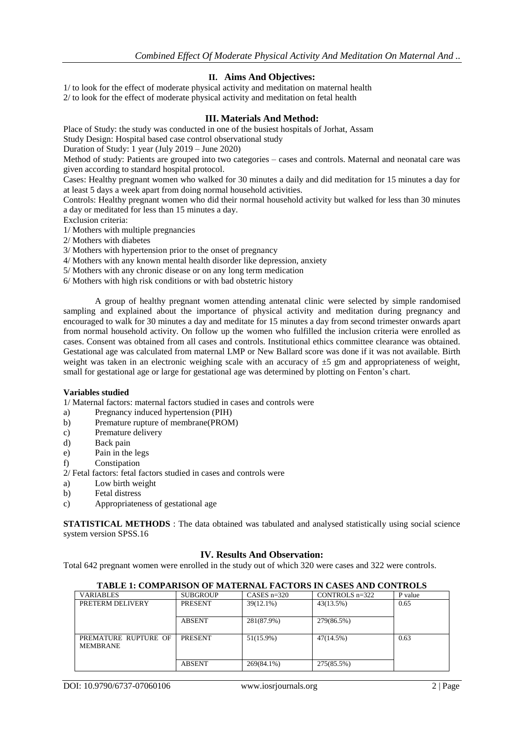## **II. Aims And Objectives:**

1/ to look for the effect of moderate physical activity and meditation on maternal health 2/ to look for the effect of moderate physical activity and meditation on fetal health

### **III. Materials And Method:**

Place of Study: the study was conducted in one of the busiest hospitals of Jorhat, Assam

Study Design: Hospital based case control observational study

Duration of Study: 1 year (July 2019 – June 2020)

Method of study: Patients are grouped into two categories – cases and controls. Maternal and neonatal care was given according to standard hospital protocol.

Cases: Healthy pregnant women who walked for 30 minutes a daily and did meditation for 15 minutes a day for at least 5 days a week apart from doing normal household activities.

Controls: Healthy pregnant women who did their normal household activity but walked for less than 30 minutes a day or meditated for less than 15 minutes a day.

Exclusion criteria:

1/ Mothers with multiple pregnancies

2/ Mothers with diabetes

3/ Mothers with hypertension prior to the onset of pregnancy

4/ Mothers with any known mental health disorder like depression, anxiety

5/ Mothers with any chronic disease or on any long term medication

6/ Mothers with high risk conditions or with bad obstetric history

A group of healthy pregnant women attending antenatal clinic were selected by simple randomised sampling and explained about the importance of physical activity and meditation during pregnancy and encouraged to walk for 30 minutes a day and meditate for 15 minutes a day from second trimester onwards apart from normal household activity. On follow up the women who fulfilled the inclusion criteria were enrolled as cases. Consent was obtained from all cases and controls. Institutional ethics committee clearance was obtained. Gestational age was calculated from maternal LMP or New Ballard score was done if it was not available. Birth weight was taken in an electronic weighing scale with an accuracy of  $\pm 5$  gm and appropriateness of weight, small for gestational age or large for gestational age was determined by plotting on Fenton's chart.

#### **Variables studied**

1/ Maternal factors: maternal factors studied in cases and controls were

- a) Pregnancy induced hypertension (PIH)
- b) Premature rupture of membrane(PROM)
- c) Premature delivery
- d) Back pain
- e) Pain in the legs
- f) Constipation

2/ Fetal factors: fetal factors studied in cases and controls were

- a) Low birth weight
- b) Fetal distress
- c) Appropriateness of gestational age

**STATISTICAL METHODS** : The data obtained was tabulated and analysed statistically using social science system version SPSS.16

#### **IV. Results And Observation:**

Total 642 pregnant women were enrolled in the study out of which 320 were cases and 322 were controls.

#### **TABLE 1: COMPARISON OF MATERNAL FACTORS IN CASES AND CONTROLS**

| <b>SUBGROUP</b> | CASES $n=320$ | CONTROLS $n=322$ | P value |
|-----------------|---------------|------------------|---------|
| <b>PRESENT</b>  | $39(12.1\%)$  | 43(13.5%)        | 0.65    |
|                 |               |                  |         |
| <b>ABSENT</b>   | 281(87.9%)    | 279(86.5%)       |         |
|                 |               |                  |         |
| <b>PRESENT</b>  | $51(15.9\%)$  | 47(14.5%)        | 0.63    |
|                 |               |                  |         |
|                 |               |                  |         |
| <b>ABSENT</b>   | 269(84.1%)    | 275(85.5%)       |         |
|                 |               |                  |         |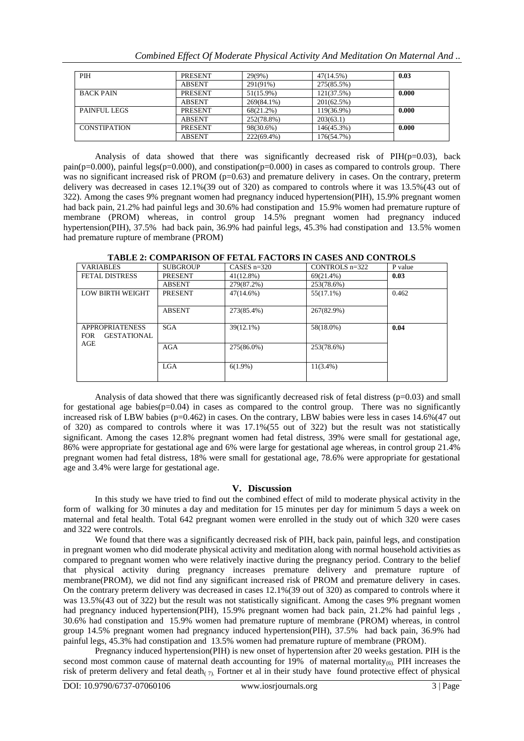|  |  | Combined Effect Of Moderate Physical Activity And Meditation On Maternal And |
|--|--|------------------------------------------------------------------------------|
|  |  |                                                                              |

| <b>PIH</b>          | <b>PRESENT</b> | 29(9%)     | 47(14.5%)  | 0.03  |
|---------------------|----------------|------------|------------|-------|
|                     | <b>ABSENT</b>  | 291(91%)   | 275(85.5%) |       |
| <b>BACK PAIN</b>    | <b>PRESENT</b> | 51(15.9%)  | 121(37.5%) | 0.000 |
|                     | <b>ABSENT</b>  | 269(84.1%) | 201(62.5%) |       |
| <b>PAINFUL LEGS</b> | <b>PRESENT</b> | 68(21.2%)  | 119(36.9%) | 0.000 |
|                     | <b>ABSENT</b>  | 252(78.8%) | 203(63.1)  |       |
| <b>CONSTIPATION</b> | <b>PRESENT</b> | 98(30.6%)  | 146(45.3%) | 0.000 |
|                     | <b>ABSENT</b>  | 222(69.4%) | 176(54.7%) |       |

Analysis of data showed that there was significantly decreased risk of PIH(p=0.03), back pain( $p=0.000$ ), painful legs( $p=0.000$ ), and constipation( $p=0.000$ ) in cases as compared to controls group. There was no significant increased risk of PROM ( $p=0.63$ ) and premature delivery in cases. On the contrary, preterm delivery was decreased in cases 12.1%(39 out of 320) as compared to controls where it was 13.5%(43 out of 322). Among the cases 9% pregnant women had pregnancy induced hypertension(PIH), 15.9% pregnant women had back pain, 21.2% had painful legs and 30.6% had constipation and 15.9% women had premature rupture of membrane (PROM) whereas, in control group 14.5% pregnant women had pregnancy induced hypertension(PIH), 37.5% had back pain, 36.9% had painful legs, 45.3% had constipation and 13.5% women had premature rupture of membrane (PROM)

| <b>VARIABLES</b>                 | <b>SUBGROUP</b> | CASES $n=320$ | CONTROLS $n=322$ | P value |
|----------------------------------|-----------------|---------------|------------------|---------|
| <b>FETAL DISTRESS</b>            | <b>PRESENT</b>  | $41(12.8\%)$  | 69(21.4%)        | 0.03    |
|                                  | <b>ABSENT</b>   | 279(87.2%)    | 253(78.6%)       |         |
| LOW BIRTH WEIGHT                 | <b>PRESENT</b>  | $47(14.6\%)$  | 55(17.1%)        | 0.462   |
|                                  |                 |               |                  |         |
|                                  | <b>ABSENT</b>   | 273(85.4%)    | 267(82.9%)       |         |
|                                  |                 |               |                  |         |
| <b>APPROPRIATENESS</b>           | <b>SGA</b>      | $39(12.1\%)$  | 58(18.0%)        | 0.04    |
| <b>GESTATIONAL</b><br><b>FOR</b> |                 |               |                  |         |
| AGE                              | <b>AGA</b>      | 275(86.0%)    | 253(78.6%)       |         |
|                                  |                 |               |                  |         |
|                                  | <b>LGA</b>      | $6(1.9\%)$    | $11(3.4\%)$      |         |
|                                  |                 |               |                  |         |
|                                  |                 |               |                  |         |

**TABLE 2: COMPARISON OF FETAL FACTORS IN CASES AND CONTROLS**

Analysis of data showed that there was significantly decreased risk of fetal distress ( $p=0.03$ ) and small for gestational age babies( $p=0.04$ ) in cases as compared to the control group. There was no significantly increased risk of LBW babies (p=0.462) in cases. On the contrary, LBW babies were less in cases 14.6%(47 out of 320) as compared to controls where it was 17.1%(55 out of 322) but the result was not statistically significant. Among the cases 12.8% pregnant women had fetal distress, 39% were small for gestational age, 86% were appropriate for gestational age and 6% were large for gestational age whereas, in control group 21.4% pregnant women had fetal distress, 18% were small for gestational age, 78.6% were appropriate for gestational age and 3.4% were large for gestational age.

## **V. Discussion**

In this study we have tried to find out the combined effect of mild to moderate physical activity in the form of walking for 30 minutes a day and meditation for 15 minutes per day for minimum 5 days a week on maternal and fetal health. Total 642 pregnant women were enrolled in the study out of which 320 were cases and 322 were controls.

We found that there was a significantly decreased risk of PIH, back pain, painful legs, and constipation in pregnant women who did moderate physical activity and meditation along with normal household activities as compared to pregnant women who were relatively inactive during the pregnancy period. Contrary to the belief that physical activity during pregnancy increases premature delivery and premature rupture of membrane(PROM), we did not find any significant increased risk of PROM and premature delivery in cases. On the contrary preterm delivery was decreased in cases 12.1%(39 out of 320) as compared to controls where it was 13.5%(43 out of 322) but the result was not statistically significant. Among the cases 9% pregnant women had pregnancy induced hypertension(PIH), 15.9% pregnant women had back pain, 21.2% had painful legs , 30.6% had constipation and 15.9% women had premature rupture of membrane (PROM) whereas, in control group 14.5% pregnant women had pregnancy induced hypertension(PIH), 37.5% had back pain, 36.9% had painful legs, 45.3% had constipation and 13.5% women had premature rupture of membrane (PROM).

Pregnancy induced hypertension(PIH) is new onset of hypertension after 20 weeks gestation. PIH is the second most common cause of maternal death accounting for 19% of maternal mortality<sub>(6)</sub>. PIH increases the risk of preterm delivery and fetal death( $\tau_1$ ). Fortner et al in their study have found protective effect of physical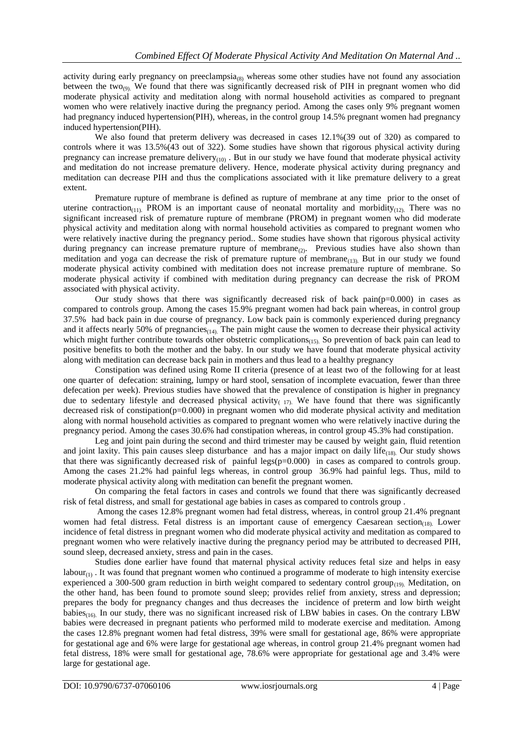activity during early pregnancy on preeclampsia $_{(8)}$  whereas some other studies have not found any association between the two<sub>(9)</sub>. We found that there was significantly decreased risk of PIH in pregnant women who did moderate physical activity and meditation along with normal household activities as compared to pregnant women who were relatively inactive during the pregnancy period. Among the cases only 9% pregnant women had pregnancy induced hypertension(PIH), whereas, in the control group 14.5% pregnant women had pregnancy induced hypertension(PIH).

We also found that preterm delivery was decreased in cases 12.1%(39 out of 320) as compared to controls where it was 13.5%(43 out of 322). Some studies have shown that rigorous physical activity during pregnancy can increase premature delivery<sub>(10)</sub>. But in our study we have found that moderate physical activity and meditation do not increase premature delivery. Hence, moderate physical activity during pregnancy and meditation can decrease PIH and thus the complications associated with it like premature delivery to a great extent.

Premature rupture of membrane is defined as rupture of membrane at any time prior to the onset of uterine contraction<sub>(11)</sub>. PROM is an important cause of neonatal mortality and morbidity<sub>(12)</sub>. There was no significant increased risk of premature rupture of membrane (PROM) in pregnant women who did moderate physical activity and meditation along with normal household activities as compared to pregnant women who were relatively inactive during the pregnancy period.. Some studies have shown that rigorous physical activity during pregnancy can increase premature rupture of membrane $_{(2)}$ . Previous studies have also shown than meditation and yoga can decrease the risk of premature rupture of membrane $(13)$ . But in our study we found moderate physical activity combined with meditation does not increase premature rupture of membrane. So moderate physical activity if combined with meditation during pregnancy can decrease the risk of PROM associated with physical activity.

Our study shows that there was significantly decreased risk of back pain( $p=0.000$ ) in cases as compared to controls group. Among the cases 15.9% pregnant women had back pain whereas, in control group 37.5% had back pain in due course of pregnancy. Low back pain is commonly experienced during pregnancy and it affects nearly 50% of pregnancies $_{(14)}$ . The pain might cause the women to decrease their physical activity which might further contribute towards other obstetric complications<sub>(15)</sub>. So prevention of back pain can lead to positive benefits to both the mother and the baby. In our study we have found that moderate physical activity along with meditation can decrease back pain in mothers and thus lead to a healthy pregnancy

Constipation was defined using Rome II criteria (presence of at least two of the following for at least one quarter of defecation: straining, lumpy or hard stool, sensation of incomplete evacuation, fewer than three defecation per week). Previous studies have showed that the prevalence of constipation is higher in pregnancy due to sedentary lifestyle and decreased physical activity<sub>(17)</sub>. We have found that there was significantly decreased risk of constipation(p=0.000) in pregnant women who did moderate physical activity and meditation along with normal household activities as compared to pregnant women who were relatively inactive during the pregnancy period. Among the cases 30.6% had constipation whereas, in control group 45.3% had constipation.

Leg and joint pain during the second and third trimester may be caused by weight gain, fluid retention and joint laxity. This pain causes sleep disturbance and has a major impact on daily life<sub>(18)</sub>. Our study shows that there was significantly decreased risk of painful legs(p=0.000) in cases as compared to controls group. Among the cases 21.2% had painful legs whereas, in control group 36.9% had painful legs. Thus, mild to moderate physical activity along with meditation can benefit the pregnant women.

On comparing the fetal factors in cases and controls we found that there was significantly decreased risk of fetal distress, and small for gestational age babies in cases as compared to controls group .

Among the cases 12.8% pregnant women had fetal distress, whereas, in control group 21.4% pregnant women had fetal distress. Fetal distress is an important cause of emergency Caesarean section<sub>(18)</sub>. Lower incidence of fetal distress in pregnant women who did moderate physical activity and meditation as compared to pregnant women who were relatively inactive during the pregnancy period may be attributed to decreased PIH, sound sleep, decreased anxiety, stress and pain in the cases.

Studies done earlier have found that maternal physical activity reduces fetal size and helps in easy labour $_{(1)}$ . It was found that pregnant women who continued a programme of moderate to high intensity exercise experienced a 300-500 gram reduction in birth weight compared to sedentary control group<sub>(19)</sub>. Meditation, on the other hand, has been found to promote sound sleep; provides relief from anxiety, stress and depression; prepares the body for pregnancy changes and thus decreases the incidence of preterm and low birth weight babies(16). In our study, there was no significant increased risk of LBW babies in cases. On the contrary LBW babies were decreased in pregnant patients who performed mild to moderate exercise and meditation. Among the cases 12.8% pregnant women had fetal distress, 39% were small for gestational age, 86% were appropriate for gestational age and 6% were large for gestational age whereas, in control group 21.4% pregnant women had fetal distress, 18% were small for gestational age, 78.6% were appropriate for gestational age and 3.4% were large for gestational age.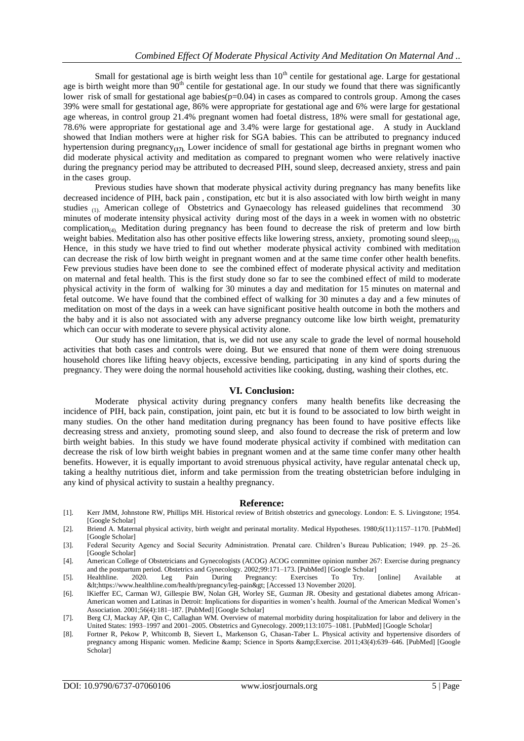Small for gestational age is birth weight less than  $10<sup>th</sup>$  centile for gestational age. Large for gestational age is birth weight more than  $90<sup>th</sup>$  centile for gestational age. In our study we found that there was significantly lower risk of small for gestational age babies( $p=0.04$ ) in cases as compared to controls group. Among the cases 39% were small for gestational age, 86% were appropriate for gestational age and 6% were large for gestational age whereas, in control group 21.4% pregnant women had foetal distress, 18% were small for gestational age, 78.6% were appropriate for gestational age and 3.4% were large for gestational age. A study in Auckland showed that Indian mothers were at higher risk for SGA babies. This can be attributed to pregnancy induced hypertension during pregnancy**(17).** Lower incidence of small for gestational age births in pregnant women who did moderate physical activity and meditation as compared to pregnant women who were relatively inactive during the pregnancy period may be attributed to decreased PIH, sound sleep, decreased anxiety, stress and pain in the cases group.

Previous studies have shown that moderate physical activity during pregnancy has many benefits like decreased incidence of PIH, back pain , constipation, etc but it is also associated with low birth weight in many studies <sub>(1)</sub>. American college of Obstetrics and Gynaecology has released guidelines that recommend 30 minutes of moderate intensity physical activity during most of the days in a week in women with no obstetric complication<sub>(4)</sub>. Meditation during pregnancy has been found to decrease the risk of preterm and low birth weight babies. Meditation also has other positive effects like lowering stress, anxiety, promoting sound sleep $_{(16)}$ . Hence, in this study we have tried to find out whether moderate physical activity combined with meditation can decrease the risk of low birth weight in pregnant women and at the same time confer other health benefits. Few previous studies have been done to see the combined effect of moderate physical activity and meditation on maternal and fetal health. This is the first study done so far to see the combined effect of mild to moderate physical activity in the form of walking for 30 minutes a day and meditation for 15 minutes on maternal and fetal outcome. We have found that the combined effect of walking for 30 minutes a day and a few minutes of meditation on most of the days in a week can have significant positive health outcome in both the mothers and the baby and it is also not associated with any adverse pregnancy outcome like low birth weight, prematurity which can occur with moderate to severe physical activity alone.

Our study has one limitation, that is, we did not use any scale to grade the level of normal household activities that both cases and controls were doing. But we ensured that none of them were doing strenuous household chores like lifting heavy objects, excessive bending, participating in any kind of sports during the pregnancy. They were doing the normal household activities like cooking, dusting, washing their clothes, etc.

#### **VI. Conclusion:**

Moderate physical activity during pregnancy confers many health benefits like decreasing the incidence of PIH, back pain, constipation, joint pain, etc but it is found to be associated to low birth weight in many studies. On the other hand meditation during pregnancy has been found to have positive effects like decreasing stress and anxiety, promoting sound sleep, and also found to decrease the risk of preterm and low birth weight babies. In this study we have found moderate physical activity if combined with meditation can decrease the risk of low birth weight babies in pregnant women and at the same time confer many other health benefits. However, it is equally important to avoid strenuous physical activity, have regular antenatal check up, taking a healthy nutritious diet, inform and take permission from the treating obstetrician before indulging in any kind of physical activity to sustain a healthy pregnancy.

#### **Reference:**

- [1]. Kerr JMM, Johnstone RW, Phillips MH. Historical review of British obstetrics and gynecology. London: E. S. Livingstone; 1954. [Google Scholar]
- [2]. Briend A. Maternal physical activity, birth weight and perinatal mortality. Medical Hypotheses. 1980;6(11):1157–1170. [PubMed] [Google Scholar]
- [3]. Federal Security Agency and Social Security Administration. Prenatal care. Children's Bureau Publication; 1949. pp. 25–26. [Google Scholar]
- [4]. American College of Obstetricians and Gynecologists (ACOG) ACOG committee opinion number 267: Exercise during pregnancy and the postpartum period. Obstetrics and Gynecology. 2002;99:171–173. [PubMed] [Google Scholar]
- [5]. Healthline. 2020. Leg Pain During Pregnancy: Exercises To Try. [online] Available at  $&$ lt;https://www.healthline.com/health/pregnancy/leg-pain $&$ gt; [Accessed 13 November 2020].
- [6]. lKieffer EC, Carman WJ, Gillespie BW, Nolan GH, Worley SE, Guzman JR. Obesity and gestational diabetes among African-American women and Latinas in Detroit: Implications for disparities in women's health. Journal of the American Medical Women's Association. 2001;56(4):181–187. [PubMed] [Google Scholar]
- [7]. Berg CJ, Mackay AP, Qin C, Callaghan WM. Overview of maternal morbidity during hospitalization for labor and delivery in the United States: 1993–1997 and 2001–2005. Obstetrics and Gynecology. 2009;113:1075–1081. [PubMed] [Google Scholar]
- [8]. Fortner R, Pekow P, Whitcomb B, Sievert L, Markenson G, Chasan-Taber L. Physical activity and hypertensive disorders of pregnancy among Hispanic women. Medicine & Science in Sports & Exercise. 2011;43(4):639–646. [PubMed] [Google Scholar]